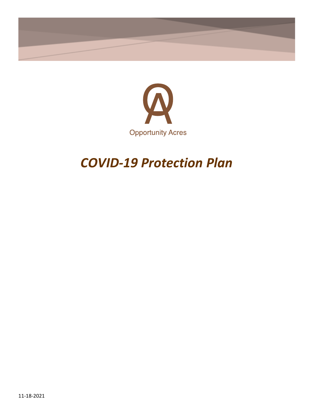



# *COVID-19 Protection Plan*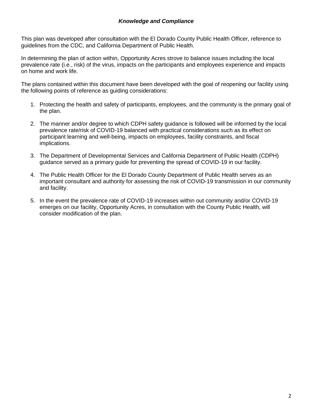#### *Knowledge and Compliance*

This plan was developed after consultation with the El Dorado County Public Health Officer, reference to guidelines from the CDC, and California Department of Public Health.

In determining the plan of action within, Opportunity Acres strove to balance issues including the local prevalence rate (i.e., risk) of the virus, impacts on the participants and employees experience and impacts on home and work life.

The plans contained within this document have been developed with the goal of reopening our facility using the following points of reference as guiding considerations:

- 1. Protecting the health and safety of participants, employees, and the community is the primary goal of the plan.
- 2. The manner and/or degree to which CDPH safety guidance is followed will be informed by the local prevalence rate/risk of COVID-19 balanced with practical considerations such as its effect on participant learning and well-being, impacts on employees, facility constraints, and fiscal implications.
- 3. The Department of Developmental Services and California Department of Public Health (CDPH) guidance served as a primary guide for preventing the spread of COVID-19 in our facility.
- 4. The Public Health Officer for the El Dorado County Department of Public Health serves as an important consultant and authority for assessing the risk of COVID-19 transmission in our community and facility.
- 5. In the event the prevalence rate of COVID-19 increases within out community and/or COVID-19 emerges on our facility, Opportunity Acres, in consultation with the County Public Health, will consider modification of the plan.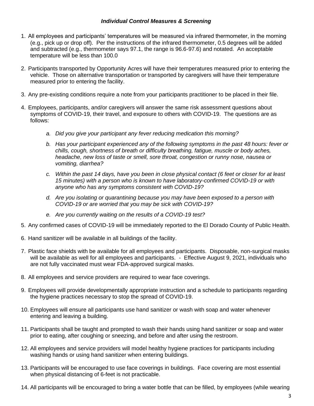#### *Individual Control Measures & Screening*

- 1. All employees and participants' temperatures will be measured via infrared thermometer, in the morning (e.g., pick up or drop off). Per the instructions of the infrared thermometer, 0.5 degrees will be added and subtracted (e.g., thermometer says 97.1, the range is 96.6-97.6) and notated. An acceptable temperature will be less than 100.0
- 2. Participants transported by Opportunity Acres will have their temperatures measured prior to entering the vehicle. Those on alternative transportation or transported by caregivers will have their temperature measured prior to entering the facility.
- 3. Any pre-existing conditions require a note from your participants practitioner to be placed in their file.
- 4. Employees, participants, and/or caregivers will answer the same risk assessment questions about symptoms of COVID-19, their travel, and exposure to others with COVID-19. The questions are as follows:
	- *a. Did you give your participant any fever reducing medication this morning?*
	- *b. Has your participant experienced any of the following symptoms in the past 48 hours: fever or chills, cough, shortness of breath or difficulty breathing, fatigue, muscle or body aches, headache, new loss of taste or smell, sore throat, congestion or runny nose, nausea or vomiting, diarrhea?*
	- *c. Within the past 14 days, have you been in close physical contact (6 feet or closer for at least 15 minutes) with a person who is known to have laboratory-confirmed COVID-19 or with anyone who has any symptoms consistent with COVID-19?*
	- *d. Are you isolating or quarantining because you may have been exposed to a person with COVID-19 or are worried that you may be sick with COVID-19?*
	- *e. Are you currently waiting on the results of a COVID-19 test?*
- 5. Any confirmed cases of COVID-19 will be immediately reported to the El Dorado County of Public Health.
- 6. Hand sanitizer will be available in all buildings of the facility.
- 7. Plastic face shields with be available for all employees and participants. Disposable, non-surgical masks will be available as well for all employees and participants. - Effective August 9, 2021, individuals who are not fully vaccinated must wear FDA-approved surgical masks.
- 8. All employees and service providers are required to wear face coverings.
- 9. Employees will provide developmentally appropriate instruction and a schedule to participants regarding the hygiene practices necessary to stop the spread of COVID-19.
- 10. Employees will ensure all participants use hand sanitizer or wash with soap and water whenever entering and leaving a building.
- 11. Participants shall be taught and prompted to wash their hands using hand sanitizer or soap and water prior to eating, after coughing or sneezing, and before and after using the restroom.
- 12. All employees and service providers will model healthy hygiene practices for participants including washing hands or using hand sanitizer when entering buildings.
- 13. Participants will be encouraged to use face coverings in buildings. Face covering are most essential when physical distancing of 6-feet is not practicable.
- 14. All participants will be encouraged to bring a water bottle that can be filled, by employees (while wearing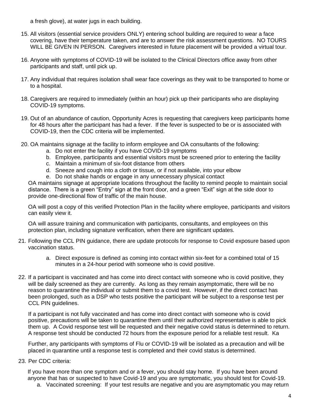a fresh glove), at water jugs in each building.

- 15. All visitors (essential service providers ONLY) entering school building are required to wear a face covering, have their temperature taken, and are to answer the risk assessment questions. NO TOURS WILL BE GIVEN IN PERSON. Caregivers interested in future placement will be provided a virtual tour.
- 16. Anyone with symptoms of COVID-19 will be isolated to the Clinical Directors office away from other participants and staff, until pick up.
- 17. Any individual that requires isolation shall wear face coverings as they wait to be transported to home or to a hospital.
- 18. Caregivers are required to immediately (within an hour) pick up their participants who are displaying COVID-19 symptoms.
- 19. Out of an abundance of caution, Opportunity Acres is requesting that caregivers keep participants home for 48 hours after the participant has had a fever. If the fever is suspected to be or is associated with COVID-19, then the CDC criteria will be implemented.
- 20. OA maintains signage at the facility to inform employee and OA consultants of the following:
	- a. Do not enter the facility if you have COVID-19 symptoms
	- b. Employee, participants and essential visitors must be screened prior to entering the facility
	- c. Maintain a minimum of six-foot distance from others
	- d. Sneeze and cough into a cloth or tissue, or if not available, into your elbow
	- e. Do not shake hands or engage in any unnecessary physical contact

OA maintains signage at appropriate locations throughout the facility to remind people to maintain social distance. There is a green "Entry" sign at the front door, and a green "Exit" sign at the side door to provide one-directional flow of traffic of the main house.

OA will post a copy of this verified Protection Plan in the facility where employee, participants and visitors can easily view it.

OA will assure training and communication with participants, consultants, and employees on this protection plan, including signature verification, when there are significant updates.

- 21. Following the CCL PIN guidance, there are update protocols for response to Covid exposure based upon vaccination status.
	- a. Direct exposure is defined as coming into contact within six-feet for a combined total of 15 minutes in a 24-hour period with someone who is covid positive.
- 22. If a participant is vaccinated and has come into direct contact with someone who is covid positive, they will be daily screened as they are currently. As long as they remain asymptomatic, there will be no reason to quarantine the individual or submit them to a covid test. However, if the direct contact has been prolonged, such as a DSP who tests positive the participant will be subject to a response test per CCL PIN guidelines.

If a participant is not fully vaccinated and has come into direct contact with someone who is covid positive, precautions will be taken to quarantine them until their authorized representative is able to pick them up. A Covid response test will be requested and their negative covid status is determined to return. A response test should be conducted 72 hours from the exposure period for a reliable test result. Ka

Further, any participants with symptoms of Flu or COVID-19 will be isolated as a precaution and will be placed in quarantine until a response test is completed and their covid status is determined.

23. Per CDC criteria:

If you have more than one symptom and or a fever, you should stay home. If you have been around anyone that has or suspected to have Covid-19 and you are symptomatic, you should test for Covid-19.

a. Vaccinated screening: If your test results are negative and you are asymptomatic you may return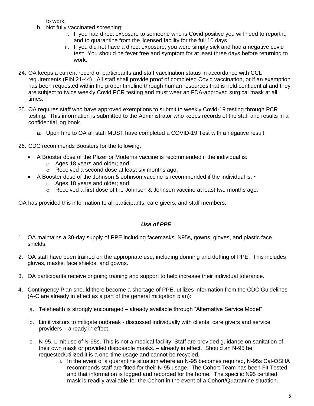to work.

- b. Not fully vaccinated screening:
	- i. If you had direct exposure to someone who is Covid positive you will need to report it, and to quarantine from the licensed facility for the full 10 days.
	- ii. If you did not have a direct exposure, you were simply sick and had a negative covid test: You should be fever free and symptom for at least three days before returning to work.
- 24. OA keeps a current record of participants and staff vaccination status in accordance with CCL requirements (PIN 21-44). All staff shall provide proof of completed Covid vaccination, or if an exemption has been requested within the proper timeline through human resources that is held confidential and they are subject to twice weekly Covid PCR testing and must wear an FDA-approved surgical mask at all times.
- 25. OA requires staff who have approved exemptions to submit to weekly Covid-19 testing through PCR testing. This information is submitted to the Administrator who keeps records of the staff and results in a confidential log book.
	- a. Upon hire to OA all staff MUST have completed a COVID-19 Test with a negative result.
- 26. CDC recommends Boosters for the following:
	- A Booster dose of the Pfizer or Moderna vaccine is recommended if the individual is:
		- o Ages 18 years and older; and
		- o Received a second dose at least six months ago.
	- A Booster dose of the Johnson & Johnson vaccine is recommended if the individual is:
		- o Ages 18 years and older; and
		- $\circ$  Received a first dose of the Johnson & Johnson vaccine at least two months ago.

OA has provided this information to all participants, care givers, and staff members.

# *Use of PPE*

- 1. OA maintains a 30-day supply of PPE including facemasks, N95s, gowns, gloves, and plastic face shields.
- 2. OA staff have been trained on the appropriate use, including donning and doffing of PPE. This includes gloves, masks, face shields, and gowns.
- 3. OA participants receive ongoing training and support to help increase their individual tolerance.
- 4. Contingency Plan should there become a shortage of PPE, utilizes information from the CDC Guidelines (A-C are already in effect as a part of the general mitigation plan):
	- a. Telehealth is strongly encouraged already available through "Alternative Service Model"
	- b. Limit visitors to mitigate outbreak discussed individually with clients, care givers and service providers – already in effect.
	- c. N-95. Limit use of N-95s. This is not a medical facility. Staff are provided guidance on sanitation of their own mask or provided disposable masks. – already in effect. Should an N-95 be requested/utilized it is a one-time usage and cannot be recycled.
		- i. In the event of a quarantine situation where an N-95 becomes required, N-95s Cal-OSHA recommends staff are fitted for their N-95 usage. The Cohort Team has been Fit Tested and that information is logged and recorded for the home. The specific N95 certified mask is readily available for the Cohort in the event of a Cohort/Quarantine situation.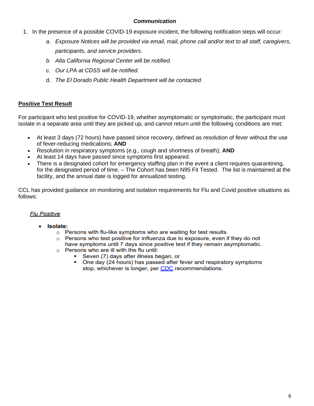### *Communication*

- 1. In the presence of a possible COVID-19 exposure incident, the following notification steps will occur:
	- *a. Exposure Notices will be provided via email, mail, phone call and/or text to all staff, caregivers, participants, and service providers.*
	- *b. Alta California Regional Center will be notified.*
	- *c. Our LPA at CDSS will be notified.*
	- d. *The El Dorado Public Health Department will be contacted.*

# **Positive Test Result**

For participant who test positive for COVID-19, whether asymptomatic or symptomatic, the participant must isolate in a separate area until they are picked up, and cannot return until the following conditions are met:

- At least 3 days (72 hours) have passed since recovery, defined as resolution of fever without the use of fever-reducing medications; **AND**
- Resolution in respiratory symptoms (e.g., cough and shortness of breath); **AND**
- At least 14 days have passed since symptoms first appeared.
- There is a designated cohort for emergency staffing plan in the event a client requires quarantining, for the designated period of time. – The Cohort has been N95 Fit Tested. The list is maintained at the facility, and the annual date is logged for annualized testing.

CCL has provided guidance on monitoring and isolation requirements for Flu and Covid positive situations as follows:

# **Flu Positive**

- · Isolate:
	- o Persons with flu-like symptoms who are waiting for test results.
	- o Persons who test positive for influenza due to exposure, even if they do not have symptoms until 7 days since positive test if they remain asymptomatic.
	- $\circ$  Persons who are ill with the flu until:
		- Seven (7) days after illness began, or
		- $\blacksquare$ One day (24 hours) has passed after fever and respiratory symptoms stop, whichever is longer, per CDC recommendations.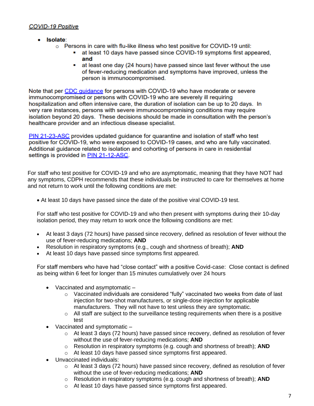# **COVID-19 Positive**

- · Isolate:
	- $\circ$  Persons in care with flu-like illness who test positive for COVID-19 until:
		- at least 10 days have passed since COVID-19 symptoms first appeared, . and
		- ×. at least one day (24 hours) have passed since last fever without the use of fever-reducing medication and symptoms have improved, unless the person is immunocompromised.

Note that per CDC quidance for persons with COVID-19 who have moderate or severe immunocompromised or persons with COVID-19 who are severely ill requiring hospitalization and often intensive care, the duration of isolation can be up to 20 days. In very rare instances, persons with severe immunocompromising conditions may require isolation beyond 20 days. These decisions should be made in consultation with the person's healthcare provider and an infectious disease specialist.

PIN 21-23-ASC provides updated quidance for quarantine and isolation of staff who test positive for COVID-19, who were exposed to COVID-19 cases, and who are fully vaccinated. Additional quidance related to isolation and cohorting of persons in care in residential settings is provided in PIN 21-12-ASC.

For staff who test positive for COVID-19 and who are asymptomatic, meaning that they have NOT had any symptoms, CDPH recommends that these individuals be instructed to care for themselves at home and not return to work until the following conditions are met:

• At least 10 days have passed since the date of the positive viral COVID-19 test.

For staff who test positive for COVID-19 and who then present with symptoms during their 10-day isolation period, they may return to work once the following conditions are met:

- At least 3 days (72 hours) have passed since recovery, defined as resolution of fever without the use of fever-reducing medications; **AND**
- Resolution in respiratory symptoms (e.g., cough and shortness of breath); **AND**
- At least 10 days have passed since symptoms first appeared.

For staff members who have had "close contact" with a positive Covid-case: Close contact is defined as being within 6 feet for longer than 15 minutes cumulatively over 24 hours

- Vaccinated and asymptomatic
	- $\circ$  Vaccinated individuals are considered "fully" vaccinated two weeks from date of last injection for two-shot manufacturers, or single-dose injection for applicable manufacturers. They will not have to test unless they are symptomatic.
	- $\circ$  All staff are subject to the surveillance testing requirements when there is a positive test
- Vaccinated and symptomatic
	- $\circ$  At least 3 days (72 hours) have passed since recovery, defined as resolution of fever without the use of fever-reducing medications; **AND**
	- o Resolution in respiratory symptoms (e.g. cough and shortness of breath); **AND**
	- o At least 10 days have passed since symptoms first appeared.
- Unvaccinated individuals:
	- o At least 3 days (72 hours) have passed since recovery, defined as resolution of fever without the use of fever-reducing medications; **AND**
	- o Resolution in respiratory symptoms (e.g. cough and shortness of breath); **AND**
	- o At least 10 days have passed since symptoms first appeared.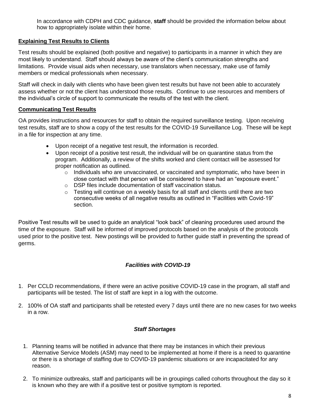In accordance with CDPH and CDC guidance, **staff** should be provided the information below about how to appropriately isolate within their home.

# **Explaining Test Results to Clients**

Test results should be explained (both positive and negative) to participants in a manner in which they are most likely to understand. Staff should always be aware of the client's communication strengths and limitations. Provide visual aids when necessary, use translators when necessary, make use of family members or medical professionals when necessary.

Staff will check in daily with clients who have been given test results but have not been able to accurately assess whether or not the client has understood those results. Continue to use resources and members of the individual's circle of support to communicate the results of the test with the client.

#### **Communicating Test Results**

OA provides instructions and resources for staff to obtain the required surveillance testing. Upon receiving test results, staff are to show a copy of the test results for the COVID-19 Surveillance Log. These will be kept in a file for inspection at any time.

- Upon receipt of a negative test result, the information is recorded.
- Upon receipt of a positive test result, the individual will be on quarantine status from the program. Additionally, a review of the shifts worked and client contact will be assessed for proper notification as outlined.
	- $\circ$  Individuals who are unvaccinated, or vaccinated and symptomatic, who have been in close contact with that person will be considered to have had an "exposure event."
	- o DSP files include documentation of staff vaccination status.
	- o Testing will continue on a weekly basis for all staff and clients until there are two consecutive weeks of all negative results as outlined in "Facilities with Covid-19" section.

Positive Test results will be used to guide an analytical "look back" of cleaning procedures used around the time of the exposure. Staff will be informed of improved protocols based on the analysis of the protocols used prior to the positive test. New postings will be provided to further guide staff in preventing the spread of germs.

# *Facilities with COVID-19*

- 1. Per CCLD recommendations, if there were an active positive COVID-19 case in the program, all staff and participants will be tested. The list of staff are kept in a log with the outcome.
- 2. 100% of OA staff and participants shall be retested every 7 days until there are no new cases for two weeks in a row.

# *Staff Shortages*

- 1. Planning teams will be notified in advance that there may be instances in which their previous Alternative Service Models (ASM) may need to be implemented at home if there is a need to quarantine or there is a shortage of staffing due to COVID-19 pandemic situations or are incapacitated for any reason.
- 2. To minimize outbreaks, staff and participants will be in groupings called cohorts throughout the day so it is known who they are with if a positive test or positive symptom is reported.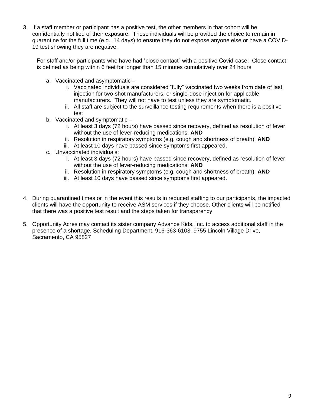3. If a staff member or participant has a positive test, the other members in that cohort will be confidentially notified of their exposure. Those individuals will be provided the choice to remain in quarantine for the full time (e.g., 14 days) to ensure they do not expose anyone else or have a COVID-19 test showing they are negative.

For staff and/or participants who have had "close contact" with a positive Covid-case: Close contact is defined as being within 6 feet for longer than 15 minutes cumulatively over 24 hours

- a. Vaccinated and asymptomatic
	- i. Vaccinated individuals are considered "fully" vaccinated two weeks from date of last injection for two-shot manufacturers, or single-dose injection for applicable manufacturers. They will not have to test unless they are symptomatic.
	- ii. All staff are subject to the surveillance testing requirements when there is a positive test
- b. Vaccinated and symptomatic
	- i. At least 3 days (72 hours) have passed since recovery, defined as resolution of fever without the use of fever-reducing medications; **AND**
	- ii. Resolution in respiratory symptoms (e.g. cough and shortness of breath); **AND**
	- iii. At least 10 days have passed since symptoms first appeared.
- c. Unvaccinated individuals:
	- i. At least 3 days (72 hours) have passed since recovery, defined as resolution of fever without the use of fever-reducing medications; **AND**
	- ii. Resolution in respiratory symptoms (e.g. cough and shortness of breath); **AND**
	- iii. At least 10 days have passed since symptoms first appeared.
- 4. During quarantined times or in the event this results in reduced staffing to our participants, the impacted clients will have the opportunity to receive ASM services if they choose. Other clients will be notified that there was a positive test result and the steps taken for transparency.
- 5. Opportunity Acres may contact its sister company Advance Kids, Inc. to access additional staff in the presence of a shortage. Scheduling Department, 916-363-6103, 9755 Lincoln Village Drive, Sacramento, CA 95827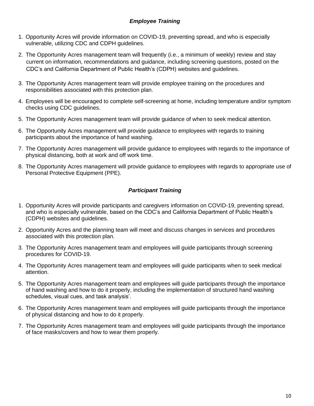# *Employee Training*

- 1. Opportunity Acres will provide information on COVID-19, preventing spread, and who is especially vulnerable, utilizing CDC and CDPH guidelines.
- 2. The Opportunity Acres management team will frequently (i.e., a minimum of weekly) review and stay current on information, recommendations and guidance, including screening questions, posted on the [CDC's a](https://www.cdc.gov/coronavirus/2019-ncov/index.html)nd [California Department of Public Health's \(CDPH\) w](https://www.cdph.ca.gov/Programs/CID/DCDC/Pages/Immunization/ncov2019.aspx)ebsites and guidelines.
- 3. The Opportunity Acres management team will provide employee training on the procedures and responsibilities associated with this protection plan.
- 4. Employees will be encouraged to complete self-screening at home, including temperature and/or symptom checks using CDC guidelines.
- 5. The Opportunity Acres management team will provide guidance of when to seek medical attention.
- 6. The Opportunity Acres management will provide guidance to employees with regards to training participants about the importance of hand washing.
- 7. The Opportunity Acres management will provide guidance to employees with regards to the importance of physical distancing, both at work and off work time.
- 8. The Opportunity Acres management will provide guidance to employees with regards to appropriate use of [Personal Protective Equipment \(PPE\).](https://www.cdc.gov/coronavirus/2019-ncov/hcp/using-ppe.html)

# *Participant Training*

- 1. Opportunity Acres will provide participants and caregivers information on COVID-19, preventing spread, and who is especially vulnerable, based on the CDC's and California Department of Public Health's (CDPH) websites and guidelines.
- 2. Opportunity Acres and the planning team will meet and discuss changes in services and procedures associated with this protection plan.
- 3. The Opportunity Acres management team and employees will guide participants through screening procedures for COVID-19.
- 4. The Opportunity Acres management team and employees will guide participants when to seek medical attention.
- 5. The Opportunity Acres management team and employees will guide participants through the importance of hand washing and how to do it properly, including the implementation of structured hand washing schedules, visual cues, and task analysis'.
- 6. The Opportunity Acres management team and employees will guide participants through the importance of physical distancing and how to do it properly.
- 7. The Opportunity Acres management team and employees will guide participants through the importance of face masks/covers and how to wear them properly.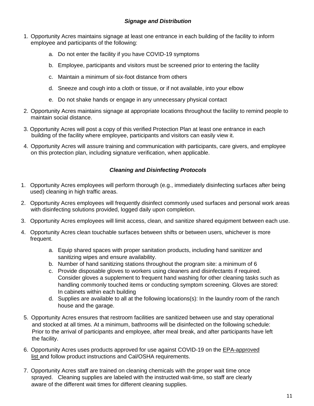- 1. Opportunity Acres maintains signage at least one entrance in each building of the facility to inform employee and participants of the following:
	- a. Do not enter the facility if you have COVID-19 symptoms
	- b. Employee, participants and visitors must be screened prior to entering the facility
	- c. Maintain a minimum of six-foot distance from others
	- d. Sneeze and cough into a cloth or tissue, or if not available, into your elbow
	- e. Do not shake hands or engage in any unnecessary physical contact
- 2. Opportunity Acres maintains signage at appropriate locations throughout the facility to remind people to maintain social distance.
- 3. Opportunity Acres will post a copy of this verified Protection Plan at least one entrance in each building of the facility where employee, participants and visitors can easily view it.
- 4. Opportunity Acres will assure training and communication with participants, care givers, and employee on this protection plan, including signature verification, when applicable.

# *Cleaning and Disinfecting Protocols*

- 1. Opportunity Acres employees will perform thorough (e.g., immediately disinfecting surfaces after being used) cleaning in high traffic areas.
- 2. Opportunity Acres employees will frequently disinfect commonly used surfaces and personal work areas with disinfecting solutions provided, logged daily upon completion.
- 3. Opportunity Acres employees will limit access, clean, and sanitize shared equipment between each use.
- 4. Opportunity Acres clean touchable surfaces between shifts or between users, whichever is more frequent.
	- a. Equip shared spaces with proper sanitation products, including hand sanitizer and sanitizing wipes and ensure availability.
	- b. Number of hand sanitizing stations throughout the program site: a minimum of 6
	- c. Provide disposable gloves to workers using cleaners and disinfectants if required. Consider gloves a supplement to frequent hand washing for other cleaning tasks such as handling commonly touched items or conducting symptom screening. Gloves are stored: In cabinets within each building
	- d. Supplies are available to all at the following locations(s): In the laundry room of the ranch house and the garage.
- 5. Opportunity Acres ensures that restroom facilities are sanitized between use and stay operational and stocked at all times. At a minimum, bathrooms will be disinfected on the following schedule: Prior to the arrival of participants and employee, after meal break, and after participants have left the facility.
- 6. Opportunity Acres uses products approved for use against COVID-19 on the [EPA-approved](https://www.epa.gov/pesticide-registration/list-n-disinfectants-use-against-sars-cov-2)  [list a](https://www.epa.gov/pesticide-registration/list-n-disinfectants-use-against-sars-cov-2)nd follow product instructions and Cal/OSHA requirements.
- 7. Opportunity Acres staff are trained on cleaning chemicals with the proper wait time once sprayed. Cleaning supplies are labeled with the instructed wait-time, so staff are clearly aware of the different wait times for different cleaning supplies.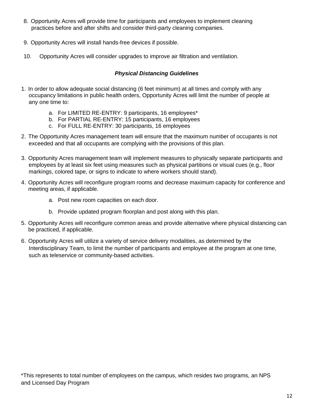- 8. Opportunity Acres will provide time for participants and employees to implement cleaning practices before and after shifts and consider third-party cleaning companies.
- 9. Opportunity Acres will install hands-free devices if possible.
- 10. Opportunity Acres will consider upgrades to improve air filtration and ventilation.

# *Physical Distancing Guidelines*

- 1. In order to allow adequate social distancing (6 feet minimum) at all times and comply with any occupancy limitations in public health orders, Opportunity Acres will limit the number of people at any one time to:
	- a. For LIMITED RE-ENTRY: 9 participants, 16 employees\*
	- b. For PARTIAL RE-ENTRY: 15 participants, 16 employees
	- c. For FULL RE-ENTRY: 30 participants, 16 employees
- 2. The Opportunity Acres management team will ensure that the maximum number of occupants is not exceeded and that all occupants are complying with the provisions of this plan.
- 3. Opportunity Acres management team will implement measures to physically separate participants and employees by at least six feet using measures such as physical partitions or visual cues (e.g., floor markings, colored tape, or signs to indicate to where workers should stand).
- 4. Opportunity Acres will reconfigure program rooms and decrease maximum capacity for conference and meeting areas, if applicable.
	- a. Post new room capacities on each door.
	- b. Provide updated program floorplan and post along with this plan.
- 5. Opportunity Acres will reconfigure common areas and provide alternative where physical distancing can be practiced, if applicable.
- 6. Opportunity Acres will utilize a variety of service delivery modalities, as determined by the Interdisciplinary Team, to limit the number of participants and employee at the program at one time, such as teleservice or community-based activities.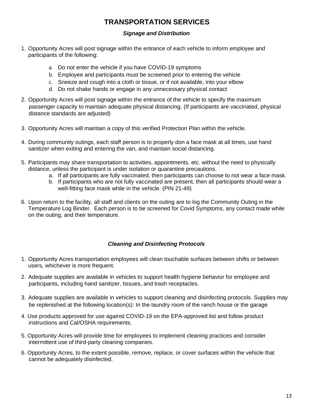# **TRANSPORTATION SERVICES**

### *Signage and Distribution*

- 1. Opportunity Acres will post signage within the entrance of each vehicle to inform employee and participants of the following:
	- a. Do not enter the vehicle if you have COVID-19 symptoms
	- b. Employee and participants must be screened prior to entering the vehicle
	- c. Sneeze and cough into a cloth or tissue, or if not available, into your elbow
	- d. Do not shake hands or engage in any unnecessary physical contact
- 2. Opportunity Acres will post signage within the entrance of the vehicle to specify the maximum passenger capacity to maintain adequate physical distancing. (If participants are vaccinated, physical distance standards are adjusted)
- 3. Opportunity Acres will maintain a copy of this verified Protection Plan within the vehicle.
- 4. During community outings, each staff person is to properly don a face mask at all times, use hand sanitizer when exiting and entering the van, and maintain social distancing.
- 5. Participants may share transportation to activities, appointments, etc. without the need to physically distance, unless the participant is under isolation or quarantine precautions.
	- a. If all participants are fully vaccinated, then participants can choose to not wear a face mask.
	- b. If participants who are not fully vaccinated are present, then all participants should wear a well-fitting face mask while in the vehicle. (PIN 21-49)
- 6. Upon return to the facility, all staff and clients on the outing are to log the Community Outing in the Temperature Log Binder. Each person is to be screened for Covid Symptoms, any contact made while on the outing, and their temperature.

# *Cleaning and Disinfecting Protocols*

- 1. Opportunity Acres transportation employees will clean touchable surfaces between shifts or between users, whichever is more frequent.
- 2. Adequate supplies are available in vehicles to support health hygiene behavior for employee and participants, including hand sanitizer, tissues, and trash receptacles.
- 3. Adequate supplies are available in vehicles to support cleaning and disinfecting protocols. Supplies may be replenished at the following location(s): In the laundry room of the ranch house or the garage
- 4. Use products approved for use against COVID-19 on the [EPA-approved list](https://www.epa.gov/pesticide-registration/list-n-disinfectants-use-against-sars-cov-2) and follow product instructions and Cal/OSHA requirements.
- 5. Opportunity Acres will provide time for employees to implement cleaning practices and consider intermittent use of third-party cleaning companies.
- 6. Opportunity Acres, to the extent possible, remove, replace, or cover surfaces within the vehicle that cannot be adequately disinfected.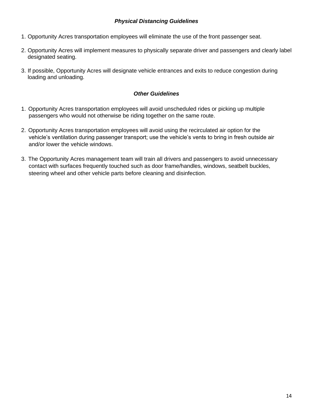## *Physical Distancing Guidelines*

- 1. Opportunity Acres transportation employees will eliminate the use of the front passenger seat.
- 2. Opportunity Acres will implement measures to physically separate driver and passengers and clearly label designated seating.
- 3. If possible, Opportunity Acres will designate vehicle entrances and exits to reduce congestion during loading and unloading.

#### *Other Guidelines*

- 1. Opportunity Acres transportation employees will avoid unscheduled rides or picking up multiple passengers who would not otherwise be riding together on the same route.
- 2. Opportunity Acres transportation employees will avoid using the recirculated air option for the vehicle's ventilation during passenger transport; use the vehicle's vents to bring in fresh outside air and/or lower the vehicle windows.
- 3. The Opportunity Acres management team will train all drivers and passengers to avoid unnecessary contact with surfaces frequently touched such as door frame/handles, windows, seatbelt buckles, steering wheel and other vehicle parts before cleaning and disinfection.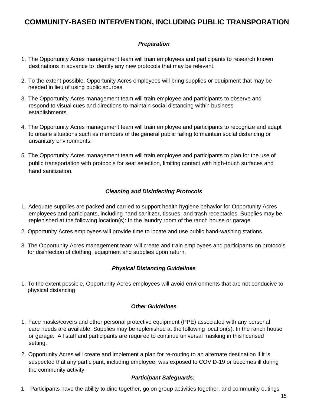# **COMMUNITY-BASED INTERVENTION, INCLUDING PUBLIC TRANSPORATION**

# *Preparation*

- 1. The Opportunity Acres management team will train employees and participants to research known destinations in advance to identify any new protocols that may be relevant.
- 2. To the extent possible, Opportunity Acres employees will bring supplies or equipment that may be needed in lieu of using public sources.
- 3. The Opportunity Acres management team will train employee and participants to observe and respond to visual cues and directions to maintain social distancing within business establishments.
- 4. The Opportunity Acres management team will train employee and participants to recognize and adapt to unsafe situations such as members of the general public failing to maintain social distancing or unsanitary environments.
- 5. The Opportunity Acres management team will train employee and participants to plan for the use of public transportation with protocols for seat selection, limiting contact with high-touch surfaces and hand sanitization.

# *Cleaning and Disinfecting Protocols*

- 1. Adequate supplies are packed and carried to support health hygiene behavior for Opportunity Acres employees and participants, including hand sanitizer, tissues, and trash receptacles. Supplies may be replenished at the following location(s): In the laundry room of the ranch house or garage
- 2. Opportunity Acres employees will provide time to locate and use public hand-washing stations.
- 3. The Opportunity Acres management team will create and train employees and participants on protocols for disinfection of clothing, equipment and supplies upon return.

# *Physical Distancing Guidelines*

1. To the extent possible, Opportunity Acres employees will avoid environments that are not conducive to physical distancing

#### *Other Guidelines*

- 1. Face masks/covers and other personal protective equipment (PPE) associated with any personal care needs are available. Supplies may be replenished at the following location(s): In the ranch house or garage. All staff and participants are required to continue universal masking in this licensed setting.
- 2. Opportunity Acres will create and implement a plan for re-routing to an alternate destination if it is suspected that any participant, including employee, was exposed to COVID-19 or becomes ill during the community activity.

# *Participant Safeguards:*

1. Participants have the ability to dine together, go on group activities together, and community outings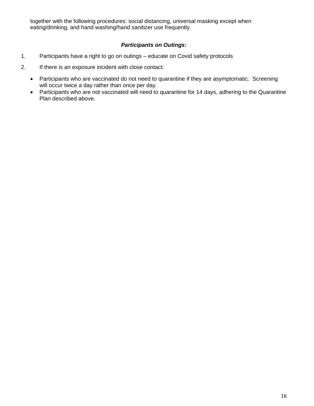together with the following procedures: social distancing, universal masking except when eating/drinking, and hand washing/hand sanitizer use frequently.

# *Participants on Outings:*

- 1. Participants have a right to go on outings educate on Covid safety protocols
- 2. If there is an exposure incident with close contact:
	- Participants who are vaccinated do not need to quarantine if they are asymptomatic. Screening will occur twice a day rather than once per day.
	- Participants who are not vaccinated will need to quarantine for 14 days, adhering to the Quarantine Plan described above.